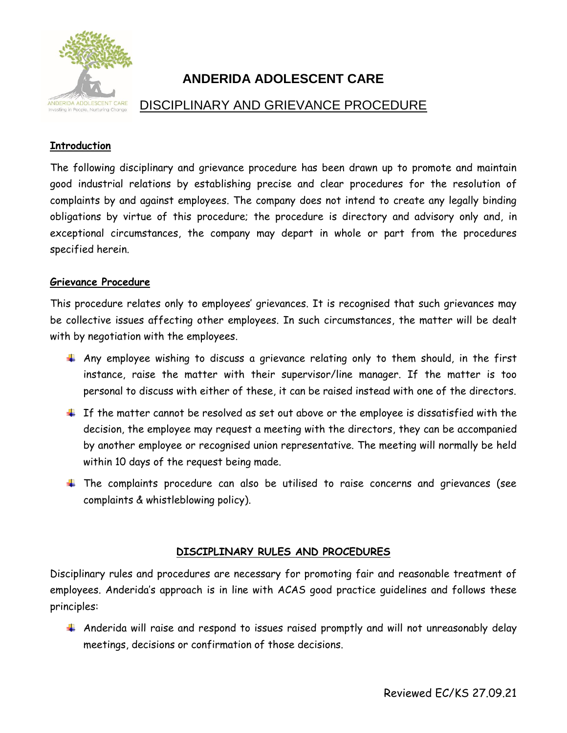

# **ANDERIDA ADOLESCENT CARE**

## DISCIPLINARY AND GRIEVANCE PROCEDURE

## **Introduction**

The following disciplinary and grievance procedure has been drawn up to promote and maintain good industrial relations by establishing precise and clear procedures for the resolution of complaints by and against employees. The company does not intend to create any legally binding obligations by virtue of this procedure; the procedure is directory and advisory only and, in exceptional circumstances, the company may depart in whole or part from the procedures specified herein.

## **Grievance Procedure**

This procedure relates only to employees' grievances. It is recognised that such grievances may be collective issues affecting other employees. In such circumstances, the matter will be dealt with by negotiation with the employees.

- $\uparrow$  Any employee wishing to discuss a grievance relating only to them should, in the first instance, raise the matter with their supervisor/line manager. If the matter is too personal to discuss with either of these, it can be raised instead with one of the directors.
- $\pm$  If the matter cannot be resolved as set out above or the employee is dissatisfied with the decision, the employee may request a meeting with the directors, they can be accompanied by another employee or recognised union representative. The meeting will normally be held within 10 days of the request being made.
- The complaints procedure can also be utilised to raise concerns and grievances (see complaints & whistleblowing policy).

## **DISCIPLINARY RULES AND PROCEDURES**

Disciplinary rules and procedures are necessary for promoting fair and reasonable treatment of employees. Anderida's approach is in line with ACAS good practice guidelines and follows these principles:

Anderida will raise and respond to issues raised promptly and will not unreasonably delay meetings, decisions or confirmation of those decisions.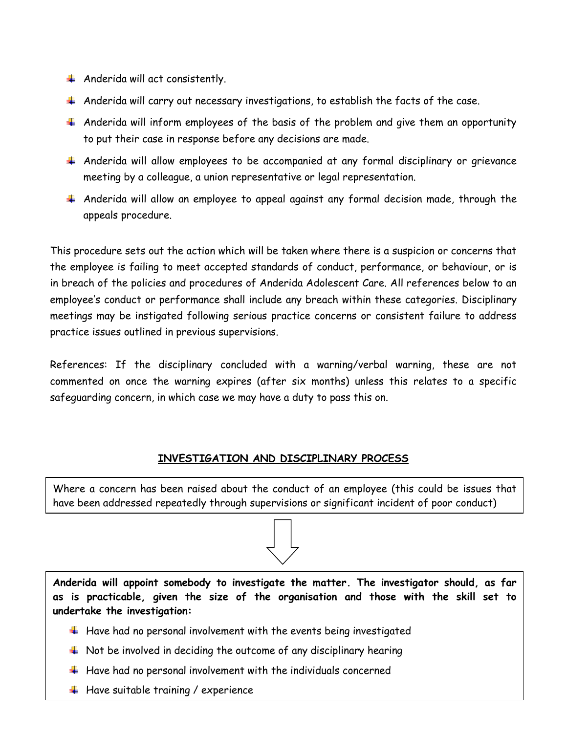- $\downarrow$  Anderida will act consistently.
- $\ddotplus$  Anderida will carry out necessary investigations, to establish the facts of the case.
- $\uparrow$  Anderida will inform employees of the basis of the problem and give them an opportunity to put their case in response before any decisions are made.
- Anderida will allow employees to be accompanied at any formal disciplinary or grievance meeting by a colleague, a union representative or legal representation.
- $\pm$  Anderida will allow an employee to appeal against any formal decision made, through the appeals procedure.

This procedure sets out the action which will be taken where there is a suspicion or concerns that the employee is failing to meet accepted standards of conduct, performance, or behaviour, or is in breach of the policies and procedures of Anderida Adolescent Care. All references below to an employee's conduct or performance shall include any breach within these categories. Disciplinary meetings may be instigated following serious practice concerns or consistent failure to address practice issues outlined in previous supervisions.

References: If the disciplinary concluded with a warning/verbal warning, these are not commented on once the warning expires (after six months) unless this relates to a specific safeguarding concern, in which case we may have a duty to pass this on.

## **INVESTIGATION AND DISCIPLINARY PROCESS**

Where a concern has been raised about the conduct of an employee (this could be issues that have been addressed repeatedly through supervisions or significant incident of poor conduct)



**Anderida will appoint somebody to investigate the matter. The investigator should, as far as is practicable, given the size of the organisation and those with the skill set to undertake the investigation:**

- $\ddotplus$  Have had no personal involvement with the events being investigated
- $\ddot{\phantom{1}}$  Not be involved in deciding the outcome of any disciplinary hearing
- $\ddotplus$  Have had no personal involvement with the individuals concerned
- $\ddotplus$  Have suitable training / experience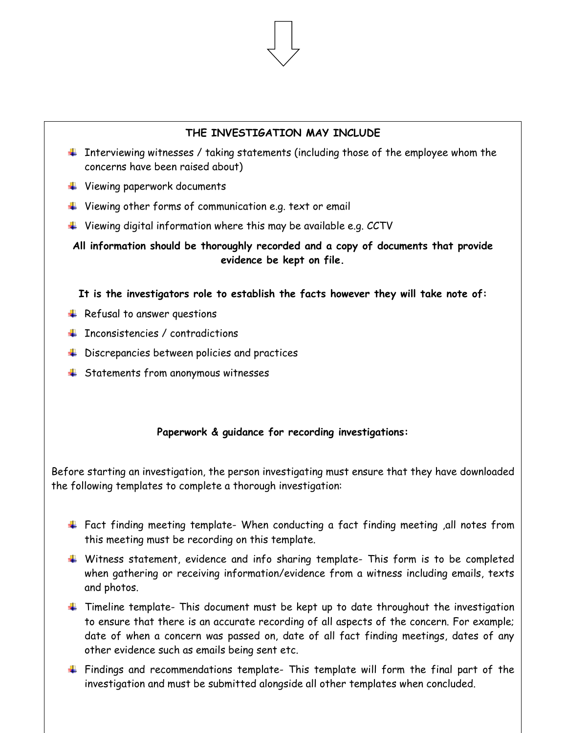## **THE INVESTIGATION MAY INCLUDE**

- $\ddot{+}$  Interviewing witnesses / taking statements (including those of the employee whom the concerns have been raised about)
- Viewing paperwork documents
- $\ddot{\phantom{1}}$  Viewing other forms of communication e.g. text or email
- $\ddot{\phantom{1}}$  Viewing digital information where this may be available e.g. CCTV

**All information should be thoroughly recorded and a copy of documents that provide evidence be kept on file.**

#### **It is the investigators role to establish the facts however they will take note of:**

- $\overline{\phantom{a} \bullet}$  Refusal to answer questions
- $\blacksquare$  Theonsistencies / contradictions
- $\ddot{\phantom{1}}$  Discrepancies between policies and practices
- $\frac{1}{2}$  Statements from anonymous witnesses

## **Paperwork & guidance for recording investigations:**

Before starting an investigation, the person investigating must ensure that they have downloaded the following templates to complete a thorough investigation:

- Fact finding meeting template- When conducting a fact finding meeting ,all notes from this meeting must be recording on this template.
- Witness statement, evidence and info sharing template- This form is to be completed when gathering or receiving information/evidence from a witness including emails, texts and photos.
- $\ddot{+}$  Timeline template- This document must be kept up to date throughout the investigation to ensure that there is an accurate recording of all aspects of the concern. For example; date of when a concern was passed on, date of all fact finding meetings, dates of any other evidence such as emails being sent etc.
- $\ddotplus$  Findings and recommendations template- This template will form the final part of the investigation and must be submitted alongside all other templates when concluded.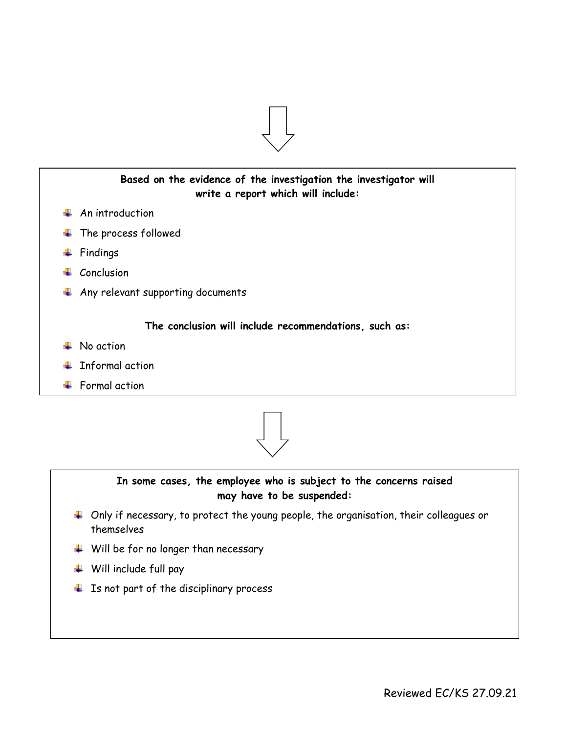



## **In some cases, the employee who is subject to the concerns raised may have to be suspended:**

- Only if necessary, to protect the young people, the organisation, their colleagues or themselves
- $\quad \blacksquare$  Will be for no longer than necessary
- Will include full pay
- $\overline{\phantom{a}}$  Is not part of the disciplinary process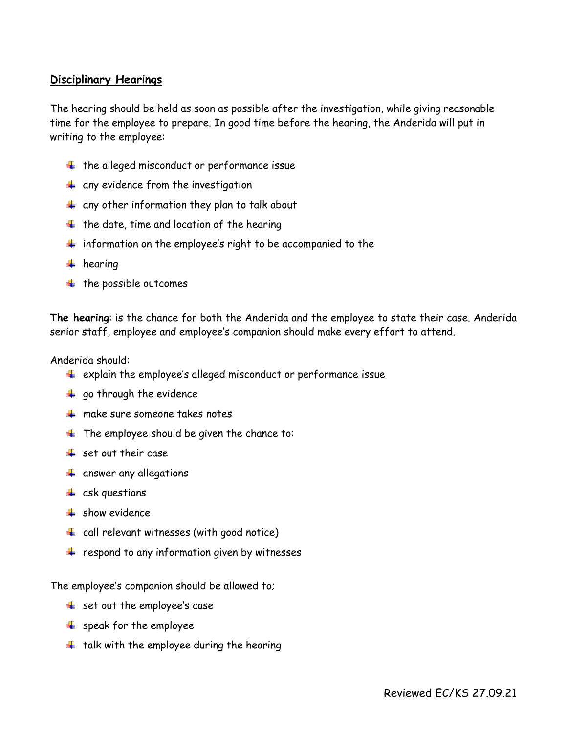## **Disciplinary Hearings**

The hearing should be held as soon as possible after the investigation, while giving reasonable time for the employee to prepare. In good time before the hearing, the Anderida will put in writing to the employee:

- $\ddot{+}$  the alleged misconduct or performance issue
- $\overline{\textbf{u}}$  any evidence from the investigation
- $\frac{1}{2}$  any other information they plan to talk about
- $\ddot{+}$  the date, time and location of the hearing
- $\ddot$  information on the employee's right to be accompanied to the
- $\ddot{\bullet}$  hearing
- $\ddot{\bullet}$  the possible outcomes

**The hearing**: is the chance for both the Anderida and the employee to state their case. Anderida senior staff, employee and employee's companion should make every effort to attend.

Anderida should:

- $\ddot{+}$  explain the employee's alleged misconduct or performance issue
- $\ddot{ }$  go through the evidence
- $\frac{1}{2}$  make sure someone takes notes
- $\ddot{+}$  The employee should be given the chance to:
- $\frac{1}{2}$  set out their case
- **4** answer any allegations
- $\frac{1}{2}$  ask questions
- $\frac{1}{2}$  show evidence
- $\frac{1}{2}$  call relevant witnesses (with good notice)
- $\frac{1}{2}$  respond to any information given by witnesses

The employee's companion should be allowed to;

- $\frac{1}{2}$  set out the employee's case
- $\triangleq$  speak for the employee
- $\ddotplus$  talk with the employee during the hearing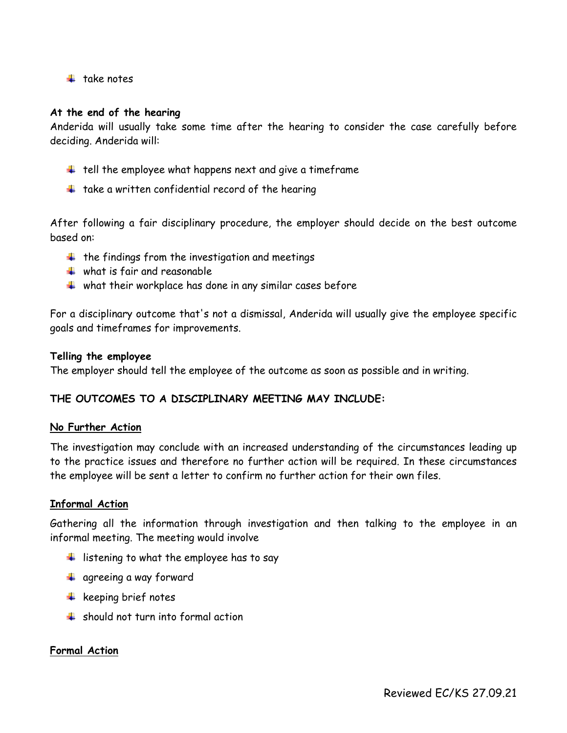$\pm$  take notes

#### **At the end of the hearing**

Anderida will usually take some time after the hearing to consider the case carefully before deciding. Anderida will:

- $\ddot{+}$  tell the employee what happens next and give a timeframe
- $\ddot{\text{+}}$  take a written confidential record of the hearing

After following a fair disciplinary procedure, the employer should decide on the best outcome based on:

- $\ddot{+}$  the findings from the investigation and meetings
- $\frac{1}{2}$  what is fair and reasonable
- $\ddot$  what their workplace has done in any similar cases before

For a disciplinary outcome that's not a dismissal, Anderida will usually give the employee specific goals and timeframes for improvements.

#### **Telling the employee**

The employer should tell the employee of the outcome as soon as possible and in writing.

#### **THE OUTCOMES TO A DISCIPLINARY MEETING MAY INCLUDE:**

#### **No Further Action**

The investigation may conclude with an increased understanding of the circumstances leading up to the practice issues and therefore no further action will be required. In these circumstances the employee will be sent a letter to confirm no further action for their own files.

#### **Informal Action**

Gathering all the information through investigation and then talking to the employee in an informal meeting. The meeting would involve

- $\frac{1}{\sqrt{1}}$  listening to what the employee has to say
- **4** agreeing a way forward
- $\frac{1}{\sqrt{1}}$  keeping brief notes
- $\frac{1}{\sqrt{2}}$  should not turn into formal action

#### **Formal Action**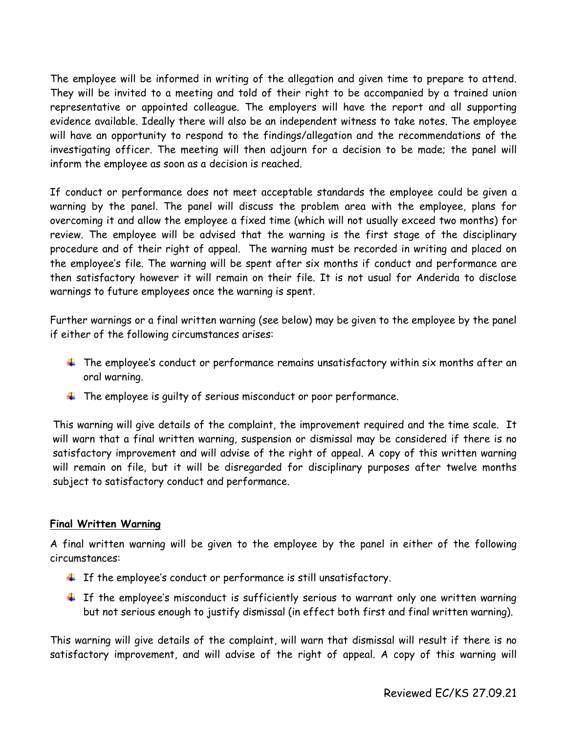The employee will be informed in writing of the allegation and given time to prepare to attend. They will be invited to a meeting and told of their right to be accompanied by a trained union representative or appointed colleague. The employers will have the report and all supporting evidence available. Ideally there will also be an independent witness to take notes. The employee will have an opportunity to respond to the findings/allegation and the recommendations of the investigating officer. The meeting will then adjourn for a decision to be made; the panel will inform the employee as soon as a decision is reached.

If conduct or performance does not meet acceptable standards the employee could be given a warning by the panel. The panel will discuss the problem area with the employee, plans for overcoming it and allow the employee a fixed time (which will not usually exceed two months) for review. The employee will be advised that the warning is the first stage of the disciplinary procedure and of their right of appeal. The warning must be recorded in writing and placed on the employee's file. The warning will be spent after six months if conduct and performance are then satisfactory however it will remain on their file. It is not usual for Anderida to disclose warnings to future employees once the warning is spent.

Further warnings or a final written warning (see below) may be given to the employee by the panel if either of the following circumstances arises:

- $\pm$  The employee's conduct or performance remains unsatisfactory within six months after an oral warning.
- $\ddot$  The employee is quilty of serious misconduct or poor performance.

This warning will give details of the complaint, the improvement required and the time scale. It will warn that a final written warning, suspension or dismissal may be considered if there is no satisfactory improvement and will advise of the right of appeal. A copy of this written warning will remain on file, but it will be disregarded for disciplinary purposes after twelve months subject to satisfactory conduct and performance.

## **Final Written Warning**

A final written warning will be given to the employee by the panel in either of the following circumstances:

- $\pm$  If the employee's conduct or performance is still unsatisfactory.
- $\pm$  If the employee's misconduct is sufficiently serious to warrant only one written warning but not serious enough to justify dismissal (in effect both first and final written warning).

This warning will give details of the complaint, will warn that dismissal will result if there is no satisfactory improvement, and will advise of the right of appeal. A copy of this warning will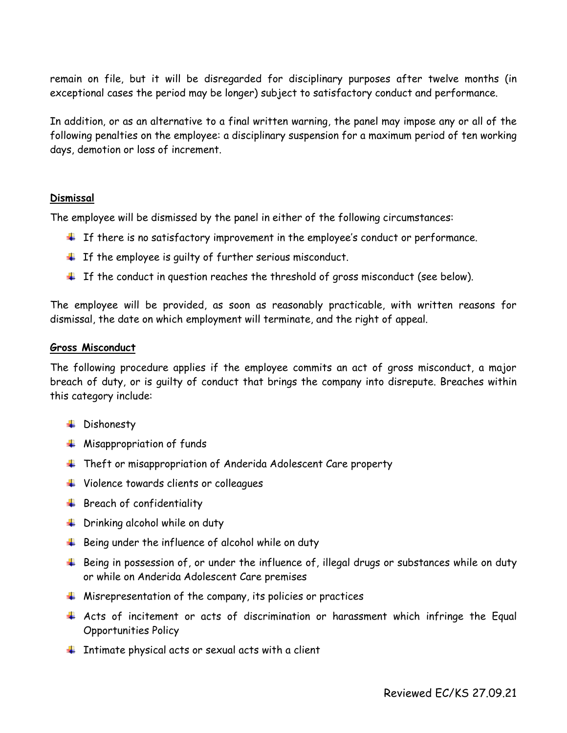remain on file, but it will be disregarded for disciplinary purposes after twelve months (in exceptional cases the period may be longer) subject to satisfactory conduct and performance.

In addition, or as an alternative to a final written warning, the panel may impose any or all of the following penalties on the employee: a disciplinary suspension for a maximum period of ten working days, demotion or loss of increment.

#### **Dismissal**

The employee will be dismissed by the panel in either of the following circumstances:

- $\ddot{\phantom{1}}$  If there is no satisfactory improvement in the employee's conduct or performance.
- $\ddot{\phantom{1}}$  If the employee is guilty of further serious misconduct.
- $\pm$  If the conduct in question reaches the threshold of gross misconduct (see below).

The employee will be provided, as soon as reasonably practicable, with written reasons for dismissal, the date on which employment will terminate, and the right of appeal.

#### **Gross Misconduct**

The following procedure applies if the employee commits an act of gross misconduct, a major breach of duty, or is guilty of conduct that brings the company into disrepute. Breaches within this category include:

- + Dishonesty
- $\frac{1}{\sqrt{2}}$  Misappropriation of funds
- **Theft or misappropriation of Anderida Adolescent Care property**
- Violence towards clients or colleagues
- $\ddot{+}$  Breach of confidentiality
- $\frac{1}{2}$  Drinking alcohol while on duty
- $\ddotplus$  Being under the influence of alcohol while on duty
- $\ddot{+}$  Being in possession of, or under the influence of, illegal drugs or substances while on duty or while on Anderida Adolescent Care premises
- $\ddotplus$  Misrepresentation of the company, its policies or practices
- Acts of incitement or acts of discrimination or harassment which infringe the Equal Opportunities Policy
- $\ddotplus$  Intimate physical acts or sexual acts with a client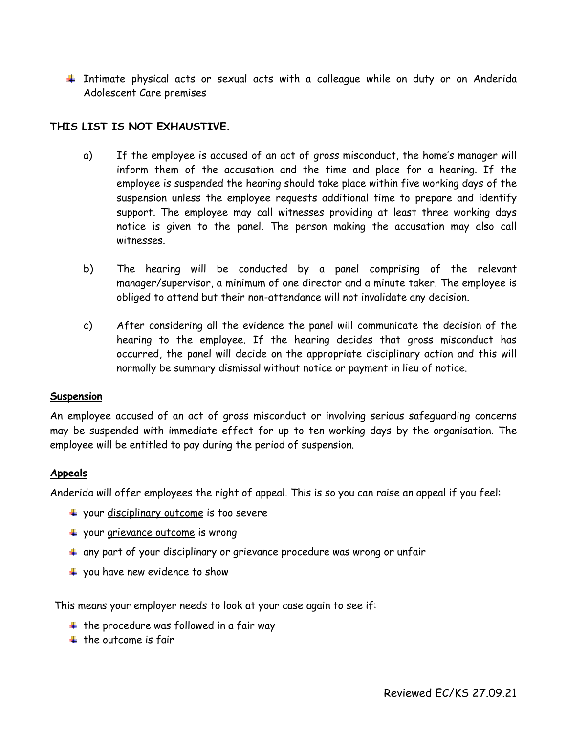$\ddotplus$  Intimate physical acts or sexual acts with a colleague while on duty or on Anderida Adolescent Care premises

## **THIS LIST IS NOT EXHAUSTIVE.**

- a) If the employee is accused of an act of gross misconduct, the home's manager will inform them of the accusation and the time and place for a hearing. If the employee is suspended the hearing should take place within five working days of the suspension unless the employee requests additional time to prepare and identify support. The employee may call witnesses providing at least three working days notice is given to the panel. The person making the accusation may also call witnesses.
- b) The hearing will be conducted by a panel comprising of the relevant manager/supervisor, a minimum of one director and a minute taker. The employee is obliged to attend but their non-attendance will not invalidate any decision.
- c) After considering all the evidence the panel will communicate the decision of the hearing to the employee. If the hearing decides that gross misconduct has occurred, the panel will decide on the appropriate disciplinary action and this will normally be summary dismissal without notice or payment in lieu of notice.

#### **Suspension**

An employee accused of an act of gross misconduct or involving serious safeguarding concerns may be suspended with immediate effect for up to ten working days by the organisation. The employee will be entitled to pay during the period of suspension.

## **Appeals**

Anderida will offer employees the right of appeal. This is so you can raise an appeal if you feel:

- $+$  your [disciplinary](https://www.acas.org.uk/disciplinary-procedure-step-by-step/step-5-deciding-on-the-disciplinary-outcome) outcome is too severe
- **↓** your [grievance](https://www.acas.org.uk/grievance-procedure-step-by-step) outcome is wrong
- $\ddot{*}$  any part of your disciplinary or grievance procedure was wrong or unfair
- $\frac{1}{2}$  you have new evidence to show

This means your employer needs to look at your case again to see if:

- $\ddot$  the procedure was followed in a fair way
- $\pm$  the outcome is fair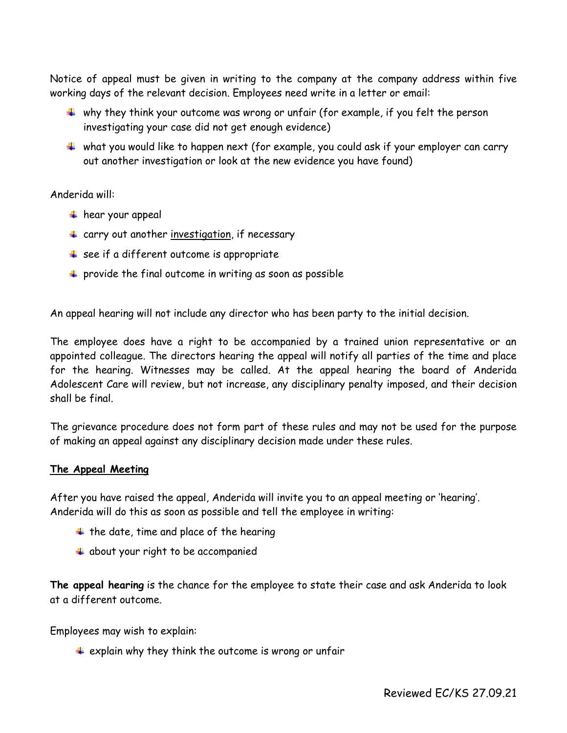Notice of appeal must be given in writing to the company at the company address within five working days of the relevant decision. Employees need write in a letter or email:

- $\ddotplus$  why they think your outcome was wrong or unfair (for example, if you felt the person investigating your case did not get enough evidence)
- $\ddotplus$  what you would like to happen next (for example, you could ask if your employer can carry out another investigation or look at the new evidence you have found)

## Anderida will:

- $\overline{\text{#}}$  hear your appeal
- $\ddot{+}$  carry out another [investigation,](https://www.acas.org.uk/investigations-for-discipline-and-grievance-step-by-step) if necessary
- $\frac{4}{3}$  see if a different outcome is appropriate
- $\ddot{\phantom{1}}$  provide the final outcome in writing as soon as possible

An appeal hearing will not include any director who has been party to the initial decision.

The employee does have a right to be accompanied by a trained union representative or an appointed colleague. The directors hearing the appeal will notify all parties of the time and place for the hearing. Witnesses may be called. At the appeal hearing the board of Anderida Adolescent Care will review, but not increase, any disciplinary penalty imposed, and their decision shall be final.

The grievance procedure does not form part of these rules and may not be used for the purpose of making an appeal against any disciplinary decision made under these rules.

## **The Appeal Meeting**

After you have raised the appeal, Anderida will invite you to an appeal meeting or 'hearing'. Anderida will do this as soon as possible and tell the employee in writing:

- $\ddagger$  the date, time and place of the hearing
- $\overline{\text{4}}$  about your right to be accompanied

**The appeal hearing** is the chance for the employee to state their case and ask Anderida to look at a different outcome.

Employees may wish to explain:

 $\pm$  explain why they think the outcome is wrong or unfair